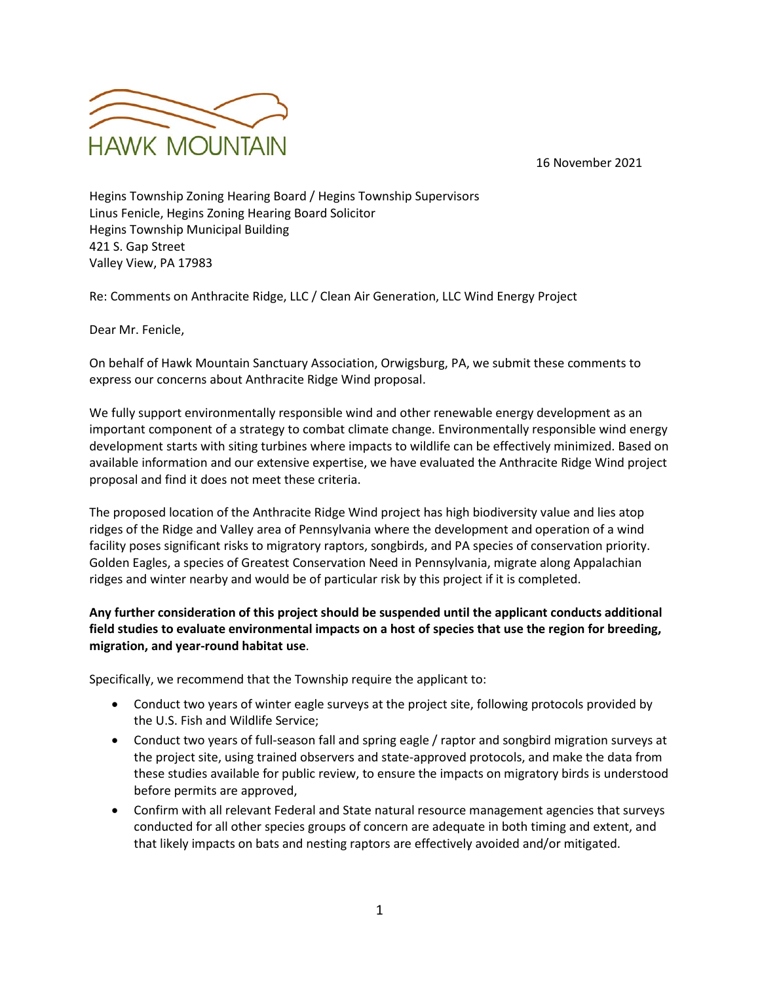16 November 2021



Hegins Township Zoning Hearing Board / Hegins Township Supervisors Linus Fenicle, Hegins Zoning Hearing Board Solicitor Hegins Township Municipal Building 421 S. Gap Street Valley View, PA 17983

Re: Comments on Anthracite Ridge, LLC / Clean Air Generation, LLC Wind Energy Project

Dear Mr. Fenicle,

On behalf of Hawk Mountain Sanctuary Association, Orwigsburg, PA, we submit these comments to express our concerns about Anthracite Ridge Wind proposal.

We fully support environmentally responsible wind and other renewable energy development as an important component of a strategy to combat climate change. Environmentally responsible wind energy development starts with siting turbines where impacts to wildlife can be effectively minimized. Based on available information and our extensive expertise, we have evaluated the Anthracite Ridge Wind project proposal and find it does not meet these criteria.

The proposed location of the Anthracite Ridge Wind project has high biodiversity value and lies atop ridges of the Ridge and Valley area of Pennsylvania where the development and operation of a wind facility poses significant risks to migratory raptors, songbirds, and PA species of conservation priority. Golden Eagles, a species of Greatest Conservation Need in Pennsylvania, migrate along Appalachian ridges and winter nearby and would be of particular risk by this project if it is completed.

## **Any further consideration of this project should be suspended until the applicant conducts additional field studies to evaluate environmental impacts on a host of species that use the region for breeding, migration, and year-round habitat use**.

Specifically, we recommend that the Township require the applicant to:

- Conduct two years of winter eagle surveys at the project site, following protocols provided by the U.S. Fish and Wildlife Service;
- Conduct two years of full-season fall and spring eagle / raptor and songbird migration surveys at the project site, using trained observers and state-approved protocols, and make the data from these studies available for public review, to ensure the impacts on migratory birds is understood before permits are approved,
- Confirm with all relevant Federal and State natural resource management agencies that surveys conducted for all other species groups of concern are adequate in both timing and extent, and that likely impacts on bats and nesting raptors are effectively avoided and/or mitigated.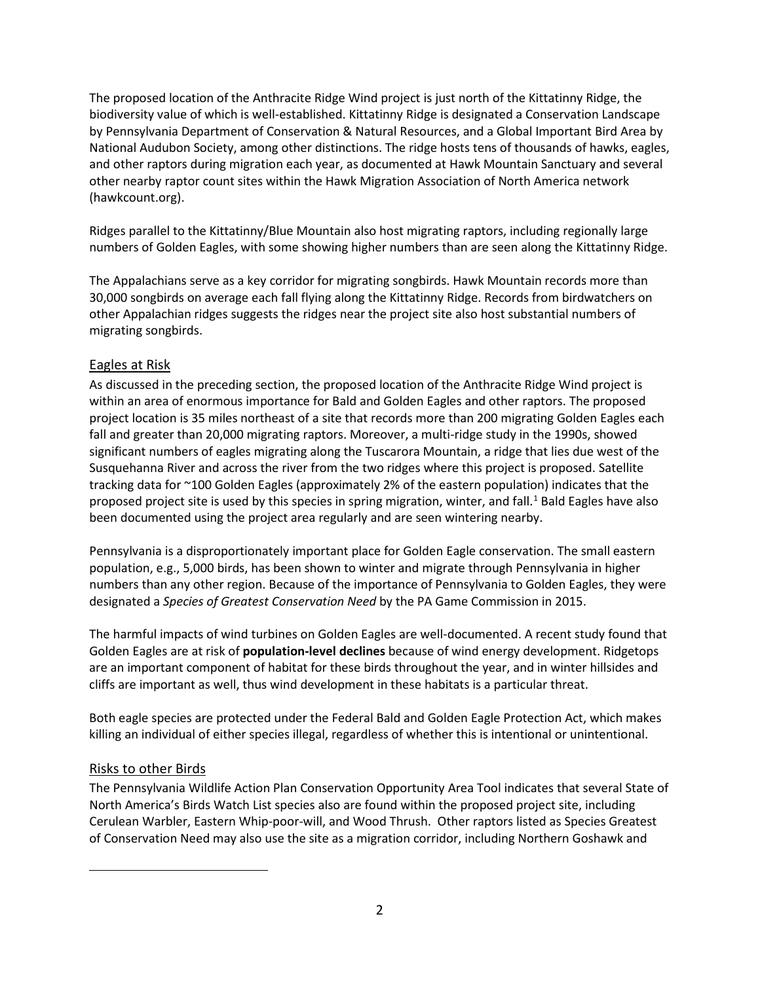The proposed location of the Anthracite Ridge Wind project is just north of the Kittatinny Ridge, the biodiversity value of which is well-established. Kittatinny Ridge is designated a Conservation Landscape by Pennsylvania Department of Conservation & Natural Resources, and a Global Important Bird Area by National Audubon Society, among other distinctions. The ridge hosts tens of thousands of hawks, eagles, and other raptors during migration each year, as documented at Hawk Mountain Sanctuary and several other nearby raptor count sites within the Hawk Migration Association of North America network (hawkcount.org).

Ridges parallel to the Kittatinny/Blue Mountain also host migrating raptors, including regionally large numbers of Golden Eagles, with some showing higher numbers than are seen along the Kittatinny Ridge.

The Appalachians serve as a key corridor for migrating songbirds. Hawk Mountain records more than 30,000 songbirds on average each fall flying along the Kittatinny Ridge. Records from birdwatchers on other Appalachian ridges suggests the ridges near the project site also host substantial numbers of migrating songbirds.

## Eagles at Risk

As discussed in the preceding section, the proposed location of the Anthracite Ridge Wind project is within an area of enormous importance for Bald and Golden Eagles and other raptors. The proposed project location is 35 miles northeast of a site that records more than 200 migrating Golden Eagles each fall and greater than 20,000 migrating raptors. Moreover, a multi-ridge study in the 1990s, showed significant numbers of eagles migrating along the Tuscarora Mountain, a ridge that lies due west of the Susquehanna River and across the river from the two ridges where this project is proposed. Satellite tracking data for ~100 Golden Eagles (approximately 2% of the eastern population) indicates that the proposed project site is used by this species in spring migration, winter, and fall. [1](#page-1-0) Bald Eagles have also been documented using the project area regularly and are seen wintering nearby.

Pennsylvania is a disproportionately important place for Golden Eagle conservation. The small eastern population, e.g., 5,000 birds, has been shown to winter and migrate through Pennsylvania in higher numbers than any other region. Because of the importance of Pennsylvania to Golden Eagles, they were designated a *Species of Greatest Conservation Need* by the PA Game Commission in 2015.

The harmful impacts of wind turbines on Golden Eagles are well-documented. A recent study found that Golden Eagles are at risk of **population-level declines** because of wind energy development. Ridgetops are an important component of habitat for these birds throughout the year, and in winter hillsides and cliffs are important as well, thus wind development in these habitats is a particular threat.

Both eagle species are protected under the Federal Bald and Golden Eagle Protection Act, which makes killing an individual of either species illegal, regardless of whether this is intentional or unintentional.

## Risks to other Birds

<span id="page-1-0"></span>The Pennsylvania Wildlife Action Plan Conservation Opportunity Area Tool indicates that several State of North America's Birds Watch List species also are found within the proposed project site, including Cerulean Warbler, Eastern Whip-poor-will, and Wood Thrush. Other raptors listed as Species Greatest of Conservation Need may also use the site as a migration corridor, including Northern Goshawk and